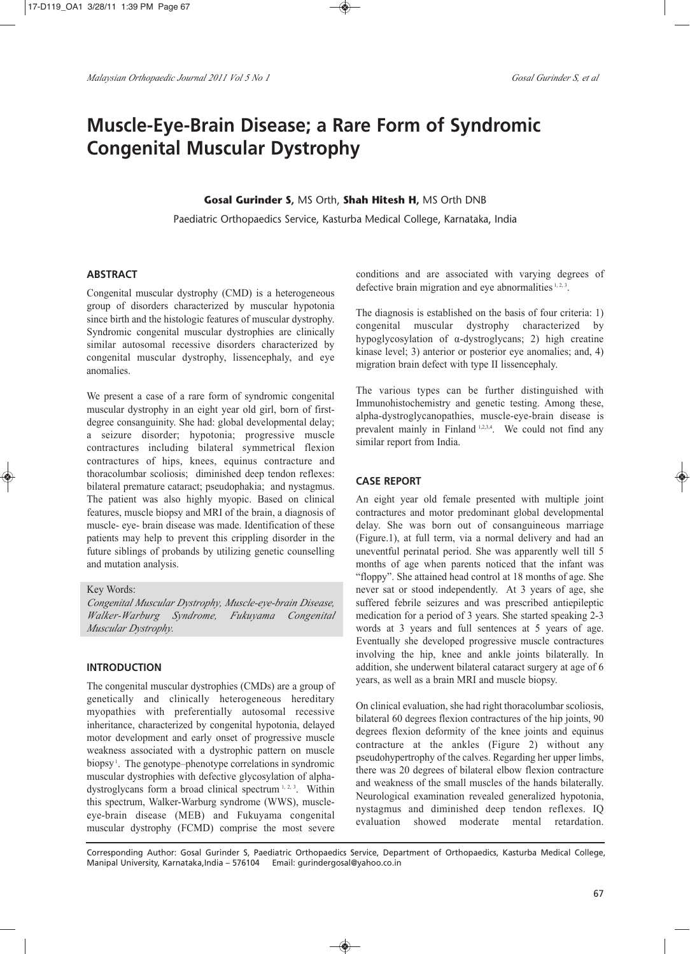# **Muscle-Eye-Brain Disease; a Rare Form of Syndromic Congenital Muscular Dystrophy**

### **Gosal Gurinder S,** MS Orth, **Shah Hitesh H,** MS Orth DNB

Paediatric Orthopaedics Service, Kasturba Medical College, Karnataka, India

## **ABSTRACT**

Congenital muscular dystrophy (CMD) is a heterogeneous group of disorders characterized by muscular hypotonia since birth and the histologic features of muscular dystrophy. Syndromic congenital muscular dystrophies are clinically similar autosomal recessive disorders characterized by congenital muscular dystrophy, lissencephaly, and eye anomalies.

We present a case of a rare form of syndromic congenital muscular dystrophy in an eight year old girl, born of firstdegree consanguinity. She had: global developmental delay; a seizure disorder; hypotonia; progressive muscle contractures including bilateral symmetrical flexion contractures of hips, knees, equinus contracture and thoracolumbar scoliosis; diminished deep tendon reflexes: bilateral premature cataract; pseudophakia; and nystagmus. The patient was also highly myopic. Based on clinical features, muscle biopsy and MRI of the brain, a diagnosis of muscle- eye- brain disease was made. Identification of these patients may help to prevent this crippling disorder in the future siblings of probands by utilizing genetic counselling and mutation analysis.

#### Key Words:

*Congenital Muscular Dystrophy, Muscle-eye-brain Disease, Walker-Warburg Syndrome, Fukuyama Congenital Muscular Dystrophy.*

### **INTRODUCTION**

The congenital muscular dystrophies (CMDs) are a group of genetically and clinically heterogeneous hereditary myopathies with preferentially autosomal recessive inheritance, characterized by congenital hypotonia, delayed motor development and early onset of progressive muscle weakness associated with a dystrophic pattern on muscle biopsy<sup>1</sup>. The genotype–phenotype correlations in syndromic muscular dystrophies with defective glycosylation of alphadystroglycans form a broad clinical spectrum 1, 2, 3. Within this spectrum, Walker-Warburg syndrome (WWS), muscleeye-brain disease (MEB) and Fukuyama congenital muscular dystrophy (FCMD) comprise the most severe conditions and are associated with varying degrees of defective brain migration and eye abnormalities  $1, 2, 3$ .

The diagnosis is established on the basis of four criteria: 1) congenital muscular dystrophy characterized by hypoglycosylation of α-dystroglycans; 2) high creatine kinase level; 3) anterior or posterior eye anomalies; and, 4) migration brain defect with type II lissencephaly.

The various types can be further distinguished with Immunohistochemistry and genetic testing. Among these, alpha-dystroglycanopathies, muscle-eye-brain disease is prevalent mainly in Finland 1,2,3,4. We could not find any similar report from India.

## **CASE REPORT**

An eight year old female presented with multiple joint contractures and motor predominant global developmental delay. She was born out of consanguineous marriage (Figure.1), at full term, via a normal delivery and had an uneventful perinatal period. She was apparently well till 5 months of age when parents noticed that the infant was "floppy". She attained head control at 18 months of age. She never sat or stood independently. At 3 years of age, she suffered febrile seizures and was prescribed antiepileptic medication for a period of 3 years. She started speaking 2-3 words at 3 years and full sentences at 5 years of age. Eventually she developed progressive muscle contractures involving the hip, knee and ankle joints bilaterally. In addition, she underwent bilateral cataract surgery at age of 6 years, as well as a brain MRI and muscle biopsy.

On clinical evaluation, she had right thoracolumbar scoliosis, bilateral 60 degrees flexion contractures of the hip joints, 90 degrees flexion deformity of the knee joints and equinus contracture at the ankles (Figure 2) without any pseudohypertrophy of the calves. Regarding her upper limbs, there was 20 degrees of bilateral elbow flexion contracture and weakness of the small muscles of the hands bilaterally. Neurological examination revealed generalized hypotonia, nystagmus and diminished deep tendon reflexes. IQ evaluation showed moderate mental retardation.

Corresponding Author: Gosal Gurinder S, Paediatric Orthopaedics Service, Department of Orthopaedics, Kasturba Medical College, Manipal University, Karnataka,India – 576104 Email: gurindergosal@yahoo.co.in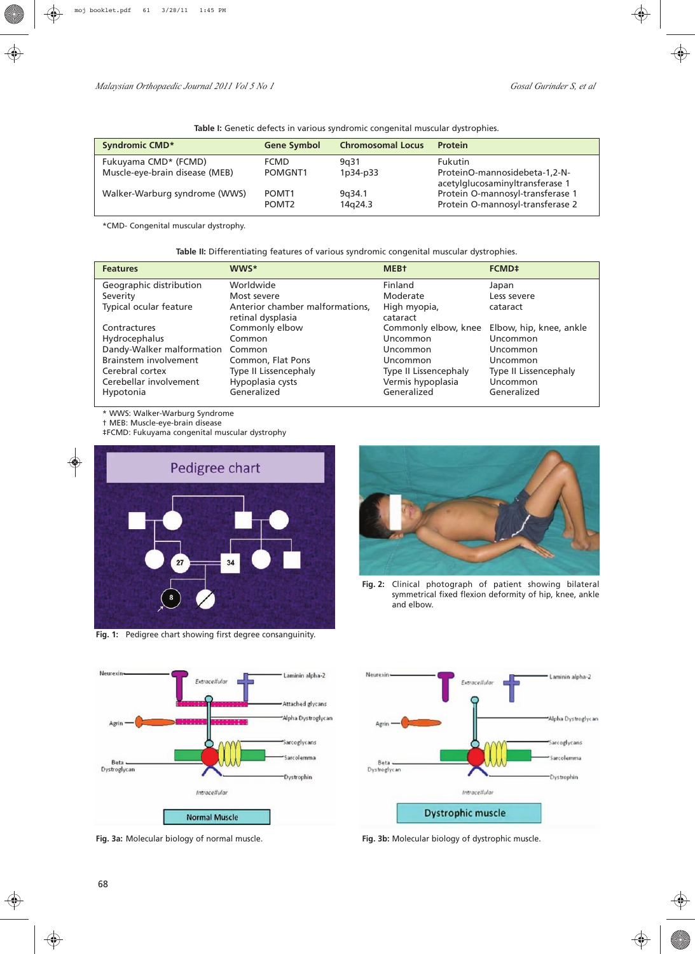| Table I: Genetic defects in various syndromic congenital muscular dystrophies. |  |  |  |
|--------------------------------------------------------------------------------|--|--|--|
|                                                                                |  |  |  |

| <b>Syndromic CMD*</b>          | <b>Gene Symbol</b> | <b>Chromosomal Locus</b> | <b>Protein</b>                                                   |
|--------------------------------|--------------------|--------------------------|------------------------------------------------------------------|
| Fukuyama CMD* (FCMD)           | <b>FCMD</b>        | 9a31                     | <b>Fukutin</b>                                                   |
| Muscle-eye-brain disease (MEB) | POMGNT1            | 1p34-p33                 | ProteinO-mannosidebeta-1,2-N-<br>acetylglucosaminyltransferase 1 |
| Walker-Warburg syndrome (WWS)  | POMT <sub>1</sub>  | 9a34.1                   | Protein O-mannosyl-transferase 1                                 |
|                                | POMT <sub>2</sub>  | 14g24.3                  | Protein O-mannosyl-transferase 2                                 |

\*CMD- Congenital muscular dystrophy.

**Table II:** Differentiating features of various syndromic congenital muscular dystrophies.

| <b>Features</b>           | <b>WWS*</b>                     | <b>MEB+</b>           | FCMD <sup>+</sup>       |
|---------------------------|---------------------------------|-----------------------|-------------------------|
| Geographic distribution   | Worldwide                       | Finland               | Japan                   |
| Severity                  | Most severe                     | Moderate              | Less severe             |
| Typical ocular feature    | Anterior chamber malformations, | High myopia,          | cataract                |
|                           | retinal dysplasia               | cataract              |                         |
| Contractures              | Commonly elbow                  | Commonly elbow, knee  | Elbow, hip, knee, ankle |
| Hydrocephalus             | Common                          | Uncommon              | Uncommon                |
| Dandy-Walker malformation | Common                          | Uncommon              | Uncommon                |
| Brainstem involvement     | Common, Flat Pons               | Uncommon              | Uncommon                |
| Cerebral cortex           | Type II Lissencephaly           | Type II Lissencephaly | Type II Lissencephaly   |
| Cerebellar involvement    | Hypoplasia cysts                | Vermis hypoplasia     | Uncommon                |
| Hypotonia                 | Generalized                     | Generalized           | Generalized             |

\* WWS: Walker-Warburg Syndrome

◈

† MEB: Muscle-eye-brain disease

‡FCMD: Fukuyama congenital muscular dystrophy



**Fig. 1:** Pedigree chart showing first degree consanguinity.



**Fig. 2:** Clinical photograph of patient showing bilateral symmetrical fixed flexion deformity of hip, knee, ankle and elbow.



**Fig. 3a:** Molecular biology of normal muscle. **Fig. 3b:** Molecular biology of dystrophic muscle.

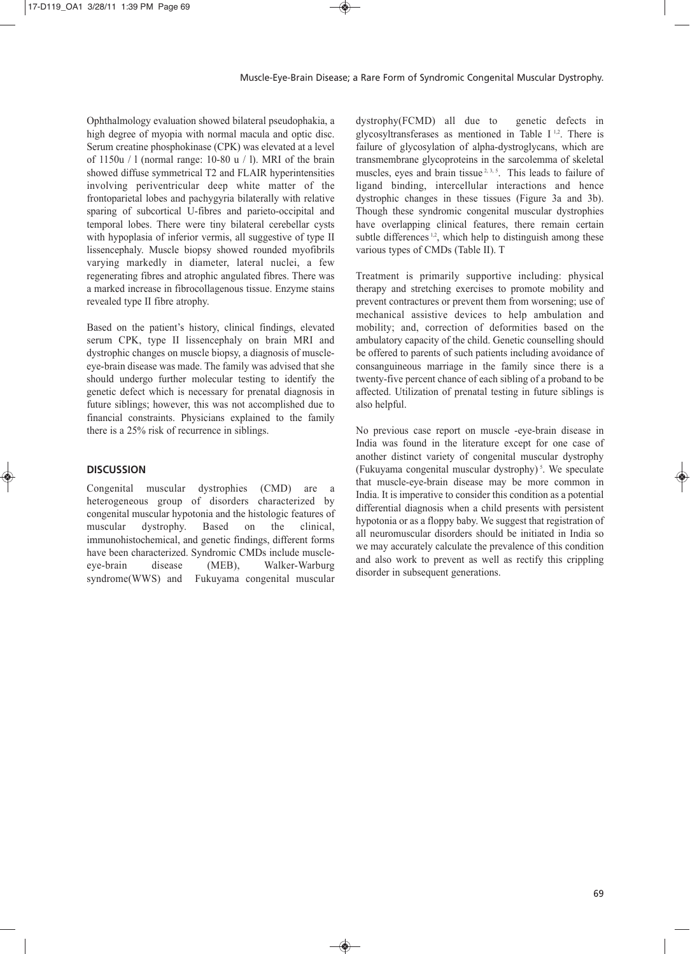Ophthalmology evaluation showed bilateral pseudophakia, a high degree of myopia with normal macula and optic disc. Serum creatine phosphokinase (CPK) was elevated at a level of 1150u / l (normal range: 10-80 u / l). MRI of the brain showed diffuse symmetrical T2 and FLAIR hyperintensities involving periventricular deep white matter of the frontoparietal lobes and pachygyria bilaterally with relative sparing of subcortical U-fibres and parieto-occipital and temporal lobes. There were tiny bilateral cerebellar cysts with hypoplasia of inferior vermis, all suggestive of type II lissencephaly. Muscle biopsy showed rounded myofibrils varying markedly in diameter, lateral nuclei, a few regenerating fibres and atrophic angulated fibres. There was a marked increase in fibrocollagenous tissue. Enzyme stains revealed type II fibre atrophy.

Based on the patient's history, clinical findings, elevated serum CPK, type II lissencephaly on brain MRI and dystrophic changes on muscle biopsy, a diagnosis of muscleeye-brain disease was made. The family was advised that she should undergo further molecular testing to identify the genetic defect which is necessary for prenatal diagnosis in future siblings; however, this was not accomplished due to financial constraints. Physicians explained to the family there is a 25% risk of recurrence in siblings.

## **DISCUSSION**

Congenital muscular dystrophies (CMD) are a heterogeneous group of disorders characterized by congenital muscular hypotonia and the histologic features of muscular dystrophy. Based on the clinical, immunohistochemical, and genetic findings, different forms have been characterized. Syndromic CMDs include muscleeye-brain disease (MEB), Walker-Warburg syndrome(WWS) and Fukuyama congenital muscular dystrophy(FCMD) all due to genetic defects in glycosyltransferases as mentioned in Table  $I<sup>1,2</sup>$ . There is failure of glycosylation of alpha-dystroglycans, which are transmembrane glycoproteins in the sarcolemma of skeletal muscles, eyes and brain tissue<sup>2, 3, 5</sup>. This leads to failure of ligand binding, intercellular interactions and hence dystrophic changes in these tissues (Figure 3a and 3b). Though these syndromic congenital muscular dystrophies have overlapping clinical features, there remain certain subtle differences<sup>1,2</sup>, which help to distinguish among these various types of CMDs (Table II). T

Treatment is primarily supportive including: physical therapy and stretching exercises to promote mobility and prevent contractures or prevent them from worsening; use of mechanical assistive devices to help ambulation and mobility; and, correction of deformities based on the ambulatory capacity of the child. Genetic counselling should be offered to parents of such patients including avoidance of consanguineous marriage in the family since there is a twenty-five percent chance of each sibling of a proband to be affected. Utilization of prenatal testing in future siblings is also helpful.

No previous case report on muscle -eye-brain disease in India was found in the literature except for one case of another distinct variety of congenital muscular dystrophy (Fukuyama congenital muscular dystrophy) <sup>5</sup> . We speculate that muscle-eye-brain disease may be more common in India. It is imperative to consider this condition as a potential differential diagnosis when a child presents with persistent hypotonia or as a floppy baby. We suggest that registration of all neuromuscular disorders should be initiated in India so we may accurately calculate the prevalence of this condition and also work to prevent as well as rectify this crippling disorder in subsequent generations.